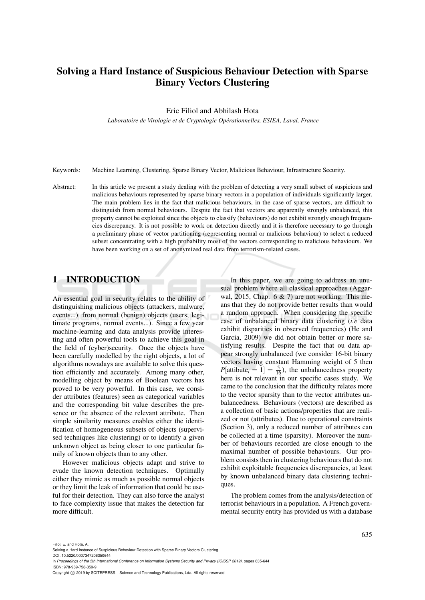# Solving a Hard Instance of Suspicious Behaviour Detection with Sparse Binary Vectors Clustering

Eric Filiol and Abhilash Hota

*Laboratoire de Virologie et de Cryptologie Operationnelles, ESIEA, Laval, France ´*

Keywords: Machine Learning, Clustering, Sparse Binary Vector, Malicious Behaviour, Infrastructure Security.

Abstract: In this article we present a study dealing with the problem of detecting a very small subset of suspicious and malicious behaviours represented by sparse binary vectors in a population of individuals significantly larger. The main problem lies in the fact that malicious behaviours, in the case of sparse vectors, are difficult to distinguish from normal behaviours. Despite the fact that vectors are apparently strongly unbalanced, this property cannot be exploited since the objects to classify (behaviours) do not exhibit strongly enough frequencies discrepancy. It is not possible to work on detection directly and it is therefore necessary to go through a preliminary phase of vector partitioning (representing normal or malicious behaviour) to select a reduced subset concentrating with a high probability most of the vectors corresponding to malicious behaviours. We have been working on a set of anonymized real data from terrorism-related cases.

# 1 INTRODUCTION

An essential goal in security relates to the ability of distinguishing malicious objects (attackers, malware, events...) from normal (benign) objects (users, legitimate programs, normal events...). Since a few year machine-learning and data analysis provide interesting and often powerful tools to achieve this goal in the field of (cyber)security. Once the objects have been carefully modelled by the right objects, a lot of algorithms nowadays are available to solve this question efficiently and accurately. Among many other, modelling object by means of Boolean vectors has proved to be very powerful. In this case, we consider attributes (features) seen as categorical variables and the corresponding bit value describes the presence or the absence of the relevant attribute. Then simple similarity measures enables either the identification of homogeneous subsets of objects (supervised techniques like clustering) or to identify a given unknown object as being closer to one particular family of known objects than to any other.

However malicious objects adapt and strive to evade the known detection techniques. Optimally either they mimic as much as possible normal objects or they limit the leak of information that could be useful for their detection. They can also force the analyst to face complexity issue that makes the detection far more difficult.

In this paper, we are going to address an unusual problem where all classical approaches (Aggarwal, 2015, Chap. 6 & 7) are not working. This means that they do not provide better results than would a random approach. When considering the specific case of unbalanced binary data clustering (*i.e* data exhibit disparities in observed frequencies) (He and Garcia, 2009) we did not obtain better or more satisfying results. Despite the fact that ou data appear strongly unbalanced (we consider 16-bit binary vectors having constant Hamming weight of 5 then  $P[\text{attribute}_i = 1] = \frac{5}{16}$ , the unbalancedness property here is not relevant in our specific cases study. We came to the conclusion that the difficulty relates more to the vector sparsity than to the vector attributes unbalancedness. Behaviours (vectors) are described as a collection of basic actions/properties that are realized or not (attributes). Due to operational constraints (Section 3), only a reduced number of attributes can be collected at a time (sparsity). Moreover the number of behaviours recorded are close enough to the maximal number of possible behaviours. Our problem consists then in clustering behaviours that do not exhibit exploitable frequencies discrepancies, at least by known unbalanced binary data clustering techniques.

The problem comes from the analysis/detection of terrorist behaviours in a population. A French governmental security entity has provided us with a database

- DOI: 10.5220/0007347206350644
- In *Proceedings of the 5th International Conference on Information Systems Security and Privacy (ICISSP 2019)*, pages 635-644 ISBN: 978-989-758-359-9

Copyright (C) 2019 by SCITEPRESS - Science and Technology Publications, Lda. All rights reserved

Solving a Hard Instance of Suspicious Behaviour Detection with Sparse Binary Vectors Clustering.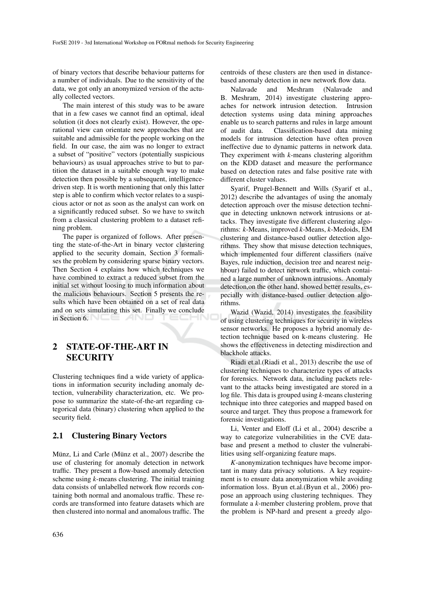of binary vectors that describe behaviour patterns for a number of individuals. Due to the sensitivity of the data, we got only an anonymized version of the actually collected vectors.

The main interest of this study was to be aware that in a few cases we cannot find an optimal, ideal solution (it does not clearly exist). However, the operational view can orientate new approaches that are suitable and admissible for the people working on the field. In our case, the aim was no longer to extract a subset of "positive" vectors (potentially suspicious behaviours) as usual approaches strive to but to partition the dataset in a suitable enough way to make detection then possible by a subsequent, intelligencedriven step. It is worth mentioning that only this latter step is able to confirm which vector relates to a suspicious actor or not as soon as the analyst can work on a significantly reduced subset. So we have to switch from a classical clustering problem to a dataset refining problem.

The paper is organized of follows. After presenting the state-of-the-Art in binary vector clustering applied to the security domain, Section 3 formalises the problem by considering sparse binary vectors. Then Section 4 explains how which techniques we have combined to extract a reduced subset from the initial set without loosing to much information about the malicious behaviours. Section 5 presents the results which have been obtained on a set of real data and on sets simulating this set. Finally we conclude in Section 6.

# 2 STATE-OF-THE-ART IN **SECURITY**

Clustering techniques find a wide variety of applications in information security including anomaly detection, vulnerability characterization, etc. We propose to summarize the state-of-the-art regarding categorical data (binary) clustering when applied to the security field.

### 2.1 Clustering Binary Vectors

Münz, Li and Carle (Münz et al., 2007) describe the use of clustering for anomaly detection in network traffic. They present a flow-based anomaly detection scheme using *k*-means clustering. The initial training data consists of unlabelled network flow records containing both normal and anomalous traffic. These records are transformed into feature datasets which are then clustered into normal and anomalous traffic. The centroids of these clusters are then used in distancebased anomaly detection in new network flow data.

Nalavade and Meshram (Nalavade and B. Meshram, 2014) investigate clustering approaches for network intrusion detection. Intrusion detection systems using data mining approaches enable us to search patterns and rules in large amount of audit data. Classification-based data mining models for intrusion detection have often proven ineffective due to dynamic patterns in network data. They experiment with *k*-means clustering algorithm on the KDD dataset and measure the performance based on detection rates and false positive rate with different cluster values.

Syarif, Prugel-Bennett and Wills (Syarif et al., 2012) describe the advantages of using the anomaly detection approach over the misuse detection technique in detecting unknown network intrusions or attacks. They investigate five different clustering algorithms: *k*-Means, improved *k*-Means, *k*-Medoids, EM clustering and distance-based outlier detection algorithms. They show that misuse detection techniques, which implemented four different classifiers (naïve Bayes, rule induction, decision tree and nearest neighbour) failed to detect network traffic, which contained a large number of unknown intrusions. Anomaly detection,on the other hand, showed better results, especially with distance-based outlier detection algorithms.

Wazid (Wazid, 2014) investigates the feasibility of using clustering techniques for security in wireless sensor networks. He proposes a hybrid anomaly detection technique based on k-means clustering. He shows the effectiveness in detecting misdirection and blackhole attacks.

Riadi et.al.(Riadi et al., 2013) describe the use of clustering techniques to characterize types of attacks for forensics. Network data, including packets relevant to the attacks being investigated are stored in a log file. This data is grouped using *k*-means clustering technique into three categories and mapped based on source and target. They thus propose a framework for forensic investigations.

Li, Venter and Eloff (Li et al., 2004) describe a way to categorize vulnerabilities in the CVE database and present a method to cluster the vulnerabilities using self-organizing feature maps.

*K*-anonymization techniques have become important in many data privacy solutions. A key requirement is to ensure data anonymization while avoiding information loss. Byun et.al.(Byun et al., 2006) propose an approach using clustering techniques. They formulate a *k*-member clustering problem, prove that the problem is NP-hard and present a greedy algo-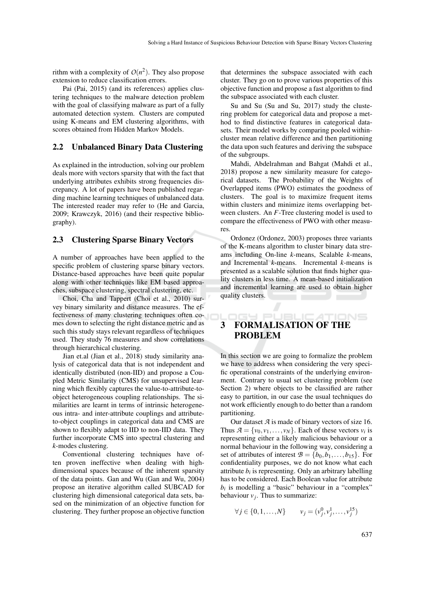rithm with a complexity of  $O(n^2)$ . They also propose extension to reduce classification errors.

Pai (Pai, 2015) (and its references) applies clustering techniques to the malware detection problem with the goal of classifying malware as part of a fully automated detection system. Clusters are computed using K-means and EM clustering algorithms, with scores obtained from Hidden Markov Models.

### 2.2 Unbalanced Binary Data Clustering

As explained in the introduction, solving our problem deals more with vectors sparsity that with the fact that underlying attributes exhibits strong frequencies discrepancy. A lot of papers have been published regarding machine learning techniques of unbalanced data. The interested reader may refer to (He and Garcia, 2009; Krawczyk, 2016) (and their respective bibliography).

### 2.3 Clustering Sparse Binary Vectors

A number of approaches have been applied to the specific problem of clustering sparse binary vectors. Distance-based approaches have been quite popular along with other techniques like EM based approaches, subspace clustering, spectral clustering, etc.

Choi, Cha and Tappert (Choi et al., 2010) survey binary similarity and distance measures. The effectiveness of many clustering techniques often comes down to selecting the right distance metric and as such this study stays relevant regardless of techniques used. They study 76 measures and show correlations through hierarchical clustering.

Jian et.al (Jian et al., 2018) study similarity analysis of categorical data that is not independent and identically distributed (non-IID) and propose a Coupled Metric Similarity (CMS) for unsupervised learning which flexibly captures the value-to-attribute-toobject heterogeneous coupling relationships. The similarities are learnt in terms of intrinsic heterogeneous intra- and inter-attribute couplings and attributeto-object couplings in categorical data and CMS are shown to flexibly adapt to IID to non-IID data. They further incorporate CMS into spectral clustering and *k*-modes clustering.

Conventional clustering techniques have often proven ineffective when dealing with highdimensional spaces because of the inherent sparsity of the data points. Gan and Wu (Gan and Wu, 2004) propose an iterative algorithm called SUBCAD for clustering high dimensional categorical data sets, based on the minimization of an objective function for clustering. They further propose an objective function

that determines the subspace associated with each cluster. They go on to prove various properties of this objective function and propose a fast algorithm to find the subspace associated with each cluster.

Su and Su (Su and Su, 2017) study the clustering problem for categorical data and propose a method to find distinctive features in categorical datasets. Their model works by comparing pooled withincluster mean relative difference and then partitioning the data upon such features and deriving the subspace of the subgroups.

Mahdi, Abdelrahman and Bahgat (Mahdi et al., 2018) propose a new similarity measure for categorical datasets. The Probability of the Weights of Overlapped items (PWO) estimates the goodness of clusters. The goal is to maximize frequent items within clusters and minimize items overlapping between clusters. An *F*-Tree clustering model is used to compare the effectiveness of PWO with other measures.

Ordonez (Ordonez, 2003) proposes three variants of the K-means algorithm to cluster binary data streams including On-line *k*-means, Scalable *k*-means, and Incremental *k*-means. Incremental *k*-means is presented as a scalable solution that finds higher quality clusters in less time. A mean-based initialization and incremental learning are used to obtain higher quality clusters.

# $N \equiv$ 3 FORMALISATION OF THE PROBLEM

In this section we are going to formalize the problem we have to address when considering the very specific operational constraints of the underlying environment. Contrary to usual set clustering problem (see Section 2) where objects to be classified are rather easy to partition, in our case the usual techniques do not work efficiently enough to do better than a random partitioning.

Our dataset *A* is made of binary vectors of size 16. Thus  $A = \{v_0, v_1, \ldots, v_N\}$ . Each of these vectors  $v_i$  is representing either a likely malicious behaviour or a normal behaviour in the following way, considering a set of attributes of interest  $\mathcal{B} = \{b_0, b_1, \ldots, b_{15}\}.$  For confidentiality purposes, we do not know what each attribute  $b_i$  is representing. Only an arbitrary labelling has to be considered. Each Boolean value for attribute  $b_i$  is modelling a "basic" behaviour in a "complex" behaviour  $v_j$ . Thus to summarize:

$$
\forall j \in \{0, 1, ..., N\} \qquad v_j = (v_j^0, v_j^1, ..., v_j^{15})
$$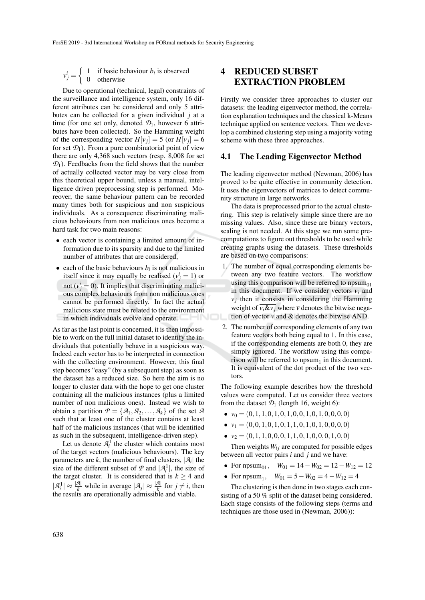$v_j^i = \begin{cases} 1 & \text{if basic behaviour } b_i \text{ is observed} \\ 0 & \text{otherwise} \end{cases}$ 0 otherwise

Due to operational (technical, legal) constraints of the surveillance and intelligence system, only 16 different attributes can be considered and only 5 attributes can be collected for a given individual *j* at a time (for one set only, denoted  $\mathcal{D}_1$ , however 6 attributes have been collected). So the Hamming weight of the corresponding vector  $H[v_j] = 5$  (or  $H[v_j] = 6$ for set  $\mathcal{D}_1$ ). From a pure combinatorial point of view there are only 4,368 such vectors (resp. 8,008 for set  $\mathcal{D}_1$ ). Feedbacks from the field shows that the number of actually collected vector may be very close from this theoretical upper bound, unless a manual, intelligence driven preprocessing step is performed. Moreover, the same behaviour pattern can be recorded many times both for suspicious and non suspicious individuals. As a consequence discriminating malicious behaviours from non malicious ones become a hard task for two main reasons:

- each vector is containing a limited amount of information due to its sparsity and due to the limited number of attributes that are considered,
- each of the basic behaviours  $b_i$  is not malicious in itself since it may equally be realised ( $v_j^i = 1$ ) or not  $(v_j^i = 0)$ . It implies that discriminating malicious complex behaviours from non malicious ones cannot be performed directly. In fact the actual malicious state must be related to the environment in which individuals evolve and operate.

As far as the last point is concerned, it is then impossible to work on the full initial dataset to identify the individuals that potentially behave in a suspicious way. Indeed each vector has to be interpreted in connection with the collecting environment. However, this final step becomes "easy" (by a subsequent step) as soon as the dataset has a reduced size. So here the aim is no longer to cluster data with the hope to get one cluster containing all the malicious instances (plus a limited number of non malicious ones). Instead we wish to obtain a partition  $P = \{A_1, A_2, \ldots, A_k\}$  of the set A such that at least one of the cluster contains at least half of the malicious instances (that will be identified as such in the subsequent, intelligence-driven step).

Let us denote  $\mathcal{A}_i^1$  the cluster which contains most of the target vectors (malicious behaviours). The key parameters are *k*, the number of final clusters,  $|\mathcal{A}_i|$  the size of the different subset of  $P$  and  $|\mathcal{A}_i^1|$ , the size of the target cluster. It is considered that is  $k \geq 4$  and  $|\mathcal{A}_i^1| \approx \frac{|\mathcal{A}|}{k}$  while in average  $|\mathcal{A}_j| \approx \frac{|\mathcal{A}|}{k}$  for  $j \neq i$ , then the results are operationally admissible and viable.

# 4 REDUCED SUBSET EXTRACTION PROBLEM

Firstly we consider three approaches to cluster our datasets: the leading eigenvector method, the correlation explanation techniques and the classical k-Means technique applied on sentence vectors. Then we develop a combined clustering step using a majority voting scheme with these three approaches.

### 4.1 The Leading Eigenvector Method

The leading eigenvector method (Newman, 2006) has proved to be quite effective in community detection. It uses the eigenvectors of matrices to detect community structure in large networks.

The data is preprocessed prior to the actual clustering. This step is relatively simple since there are no missing values. Also, since these are binary vectors, scaling is not needed. At this stage we run some precomputations to figure out thresholds to be used while creating graphs using the datasets. These thresholds are based on two comparisons:

- 1. The number of equal corresponding elements between any two feature vectors. The workflow using this comparison will be referred to  $n_{01}$ in this document. If we consider vectors  $v_i$  and  $v_j$  then it consists in considering the Hamming weight of  $\overline{v_i \& v_j}$  where  $\overline{v}$  denotes the bitwise negation of vector  $v$  and  $\&$  denotes the bitwise AND.
- 2. The number of corresponding elements of any two feature vectors both being equal to 1. In this case, if the corresponding elements are both 0, they are simply ignored. The workflow using this compa $r$  rison will be referred to  $n$  psum<sub>1</sub> in this document. It is equivalent of the dot product of the two vectors.

The following example describes how the threshold values were computed. Let us consider three vectors from the dataset  $\mathcal{D}_1$  (length 16, weight 6):

- $\bullet$   $v_0 = (0, 1, 1, 0, 1, 0, 1, 0, 0, 1, 0, 1, 0, 0, 0, 0)$
- $\bullet$   $v_1 = (0,0,1,0,1,0,1,1,0,1,0,1,0,0,0,0)$
- $\bullet \ \nu_2 = (0, 1, 1, 0, 0, 0, 1, 1, 0, 1, 0, 0, 0, 1, 0, 0)$

Then weights  $W_{ij}$  are computed for possible edges between all vector pairs *i* and *j* and we have:

- For npsum<sub>01</sub>,  $W_{01} = 14 W_{02} = 12 W_{12} = 12$
- For  $npsum_1$ ,  $W_{01} = 5 W_{02} = 4 W_{12} = 4$

The clustering is then done in two stages each consisting of a 50 % split of the dataset being considered. Each stage consists of the following steps (terms and techniques are those used in (Newman, 2006)):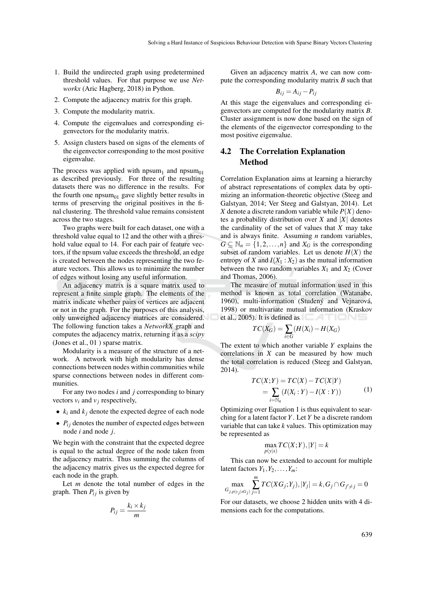- 1. Build the undirected graph using predetermined threshold values. For that purpose we use *Networkx* (Aric Hagberg, 2018) in Python.
- 2. Compute the adjacency matrix for this graph.
- 3. Compute the modularity matrix.
- 4. Compute the eigenvalues and corresponding eigenvectors for the modularity matrix.
- 5. Assign clusters based on signs of the elements of the eigenvector corresponding to the most positive eigenvalue.

The process was applied with  $n_{\text{p}}$  and  $n_{\text{p}}$  and  $n_{\text{p}}$ as described previously. For three of the resulting datasets there was no difference in the results. For the fourth one  $npsum<sub>01</sub>$  gave slightly better results in terms of preserving the original positives in the final clustering. The threshold value remains consistent across the two stages.

Two graphs were built for each dataset, one with a threshold value equal to 12 and the other with a threshold value equal to 14. For each pair of feature vectors, if the npsum value exceeds the threshold, an edge is created between the nodes representing the two feature vectors. This allows us to minimize the number of edges without losing any useful information.

An adjacency matrix is a square matrix used to represent a finite simple graph. The elements of the matrix indicate whether pairs of vertices are adjacent or not in the graph. For the purposes of this analysis, only unweighed adjacency matrices are considered. The following function takes a *NetworkX* graph and computes the adjacency matrix, returning it as a *scipy* (Jones et al., 01 ) sparse matrix.

Modularity is a measure of the structure of a network. A network with high modularity has dense connections between nodes within communities while sparse connections between nodes in different communities.

For any two nodes *i* and *j* corresponding to binary vectors  $v_i$  and  $v_j$  respectively,

- $k_i$  and  $k_j$  denote the expected degree of each node
- $\bullet$   $P_{ij}$  denotes the number of expected edges between node *i* and node *j*.

We begin with the constraint that the expected degree is equal to the actual degree of the node taken from the adjacency matrix. Thus summing the columns of the adjacency matrix gives us the expected degree for each node in the graph.

Let *m* denote the total number of edges in the graph. Then  $P_{ij}$  is given by

$$
P_{ij} = \frac{k_i \times k_j}{m}
$$

Given an adjacency matrix *A*, we can now compute the corresponding modularity matrix *B* such that

$$
B_{ij}=A_{ij}-P_{ij}
$$

At this stage the eigenvalues and corresponding eigenvectors are computed for the modularity matrix *B*. Cluster assignment is now done based on the sign of the elements of the eigenvector corresponding to the most positive eigenvalue.

# 4.2 The Correlation Explanation Method

Correlation Explanation aims at learning a hierarchy of abstract representations of complex data by optimizing an information-theoretic objective (Steeg and Galstyan, 2014; Ver Steeg and Galstyan, 2014). Let *X* denote a discrete random variable while *P*(*X*) denotes a probability distribution over *X* and  $|X|$  denotes the cardinality of the set of values that *X* may take and is always finite. Assuming *n* random variables,  $G \subseteq \mathbb{N}_n = \{1, 2, ..., n\}$  and  $X_G$  is the corresponding subset of random variables. Let us denote  $H(X)$  the entropy of *X* and  $I(X_1 : X_2)$  as the mutual information between the two random variables  $X_1$  and  $X_2$  (Cover and Thomas, 2006).

The measure of mutual information used in this method is known as total correlation (Watanabe, 1960), multi-information (Studený and Vejnarová, 1998) or multivariate mutual information (Kraskov et al., 2005). It is defined as **EXAMPLE** 

$$
TC(X_G) = \sum_{i \in G} (H(X_i) - H(X_G))
$$

The extent to which another variable *Y* explains the correlations in *X* can be measured by how much the total correlation is reduced (Steeg and Galstyan, 2014).

$$
TC(X;Y) = TC(X) - TC(X|Y)
$$
  
=  $\sum_{i=N_n} (I(X_i:Y) - I(X:Y))$  (1)

Optimizing over Equation 1 is thus equivalent to searching for a latent factor *Y*. Let *Y* be a discrete random variable that can take *k* values. This optimization may be represented as

$$
\max_{p(y|x)} TC(X;Y), |Y| = k
$$

This can now be extended to account for multiple latent factors  $Y_1, Y_2, \ldots, Y_m$ :

$$
\max_{G_{j,p(y_j|XG_j)}} \sum_{j=1}^m TC(XG_j;Y_j), |Y_j|=k, G_j \cap G_{j'\neq j}=0
$$

For our datasets, we choose 2 hidden units with 4 dimensions each for the computations.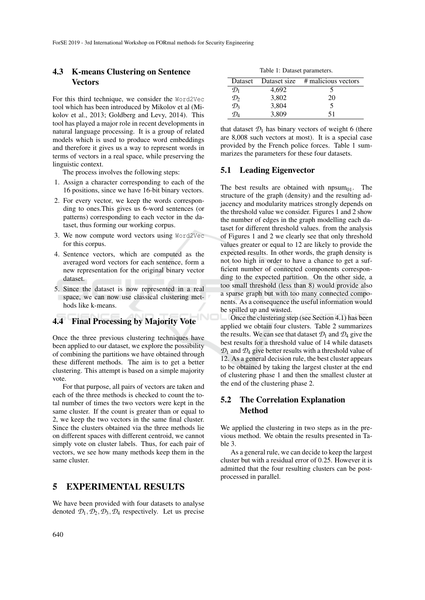### 4.3 K-means Clustering on Sentence **Vectors**

For this third technique, we consider the Word2Vec tool which has been introduced by Mikolov et al (Mikolov et al., 2013; Goldberg and Levy, 2014). This tool has played a major role in recent developments in natural language processing. It is a group of related models which is used to produce word embeddings and therefore it gives us a way to represent words in terms of vectors in a real space, while preserving the linguistic context.

The process involves the following steps:

- 1. Assign a character corresponding to each of the 16 positions, since we have 16-bit binary vectors.
- 2. For every vector, we keep the words corresponding to ones.This gives us 6-word sentences (or patterns) corresponding to each vector in the dataset, thus forming our working corpus.
- 3. We now compute word vectors using Word2Vec for this corpus.
- 4. Sentence vectors, which are computed as the averaged word vectors for each sentence, form a new representation for the original binary vector dataset.
- 5. Since the dataset is now represented in a real space, we can now use classical clustering methods like k-means.

# 4.4 Final Processing by Majority Vote

Once the three previous clustering techniques have been applied to our dataset, we explore the possibility of combining the partitions we have obtained through these different methods. The aim is to get a better clustering. This attempt is based on a simple majority vote.

For that purpose, all pairs of vectors are taken and each of the three methods is checked to count the total number of times the two vectors were kept in the same cluster. If the count is greater than or equal to 2, we keep the two vectors in the same final cluster. Since the clusters obtained via the three methods lie on different spaces with different centroid, we cannot simply vote on cluster labels. Thus, for each pair of vectors, we see how many methods keep them in the same cluster.

## 5 EXPERIMENTAL RESULTS

We have been provided with four datasets to analyse denoted  $\mathcal{D}_1$ ,  $\mathcal{D}_2$ ,  $\mathcal{D}_3$ ,  $\mathcal{D}_4$  respectively. Let us precise

| Table 1: Dataset parameters. |
|------------------------------|
|------------------------------|

|                 |       | Dataset Dataset size # malicious vectors |
|-----------------|-------|------------------------------------------|
| $\mathcal{D}_1$ | 4,692 |                                          |
| $\mathcal{D}_2$ | 3,802 | 20                                       |
| $\mathcal{D}_3$ | 3,804 | 5                                        |
| $D_A$           | 3,809 | 51                                       |

that dataset  $\mathcal{D}_1$  has binary vectors of weight 6 (there are 8,008 such vectors at most). It is a special case provided by the French police forces. Table 1 summarizes the parameters for these four datasets.

### 5.1 Leading Eigenvector

The best results are obtained with npsum<sub>01</sub>. The structure of the graph (density) and the resulting adjacency and modularity matrices strongly depends on the threshold value we consider. Figures 1 and 2 show the number of edges in the graph modelling each dataset for different threshold values. from the analysis of Figures 1 and 2 we clearly see that only threshold values greater or equal to 12 are likely to provide the expected results. In other words, the graph density is not too high in order to have a chance to get a sufficient number of connected components corresponding to the expected partition. On the other side, a too small threshold (less than 8) would provide also a sparse graph but with too many connected components. As a consequence the useful information would be spilled up and wasted.

Once the clustering step (see Section 4.1) has been applied we obtain four clusters. Table 2 summarizes the results. We can see that dataset  $\mathcal{D}_1$  and  $\mathcal{D}_4$  give the best results for a threshold value of 14 while datasets  $\mathcal{D}_1$  and  $\mathcal{D}_4$  give better results with a threshold value of 12. As a general decision rule, the best cluster appears to be obtained by taking the largest cluster at the end of clustering phase 1 and then the smallest cluster at the end of the clustering phase 2.

# 5.2 The Correlation Explanation Method

We applied the clustering in two steps as in the previous method. We obtain the results presented in Table 3.

As a general rule, we can decide to keep the largest cluster but with a residual error of 0.25. However it is admitted that the four resulting clusters can be postprocessed in parallel.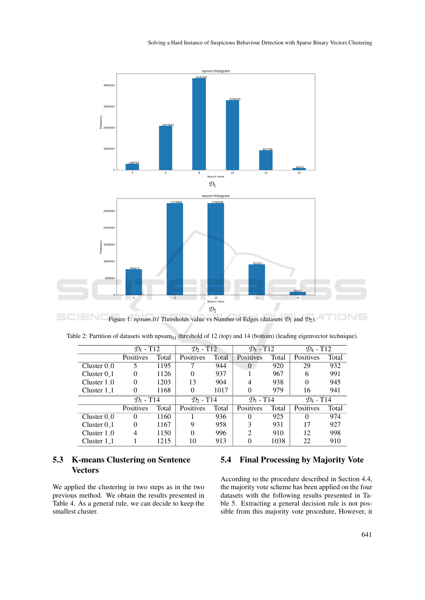

| Table 2: Partition of datasets with npsum <sub>01</sub> threshold of 12 (top) and 14 (bottom) (leading eigenvector technique). |  |  |  |
|--------------------------------------------------------------------------------------------------------------------------------|--|--|--|
|                                                                                                                                |  |  |  |

|                  | $\mathcal{D}_1$ - T12             |       | $\mathcal{D}_2$ - T12             |                       | $\mathcal{D}_3$ - T12 |       | $\mathcal{D}_4$ - T12 |       |
|------------------|-----------------------------------|-------|-----------------------------------|-----------------------|-----------------------|-------|-----------------------|-------|
|                  | Positives                         | Total | Positives                         | Total                 | Positives             | Total | Positives             | Total |
| Cluster 0 0      | 5                                 | 1195  |                                   | 944                   | $\Omega$              | 920   | 29                    | 932   |
| Cluster $0-1$    | $\theta$                          | 1126  | 0                                 | 937                   |                       | 967   | 6                     | 991   |
| Cluster 1 0      | $\theta$                          | 1203  | 13                                | 904                   | 4                     | 938   | 0                     | 945   |
| Cluster $1_{-1}$ | $\Omega$                          | 1168  | 0                                 | 1017                  | 0                     | 979   | 16                    | 941   |
|                  | $\mathcal{D}_1$ - T <sub>14</sub> |       | $\mathcal{D}_2$ - T <sub>14</sub> | $\mathcal{D}_3$ - T14 |                       |       | $\mathcal{D}_4$ - T14 |       |
|                  | Positives                         | Total | <b>Positives</b>                  | Total                 | Positives             | Total | Positives             | Total |
| Cluster $0_0$    | $\theta$                          | 1160  |                                   | 936                   | 0                     | 925   |                       | 974   |
| Cluster $01$     | $\theta$                          | 1167  | 9                                 | 958                   | 3                     | 931   | 17                    | 927   |
| Cluster $1_0$    | 4                                 | 1150  | 0                                 | 996                   | ↑                     | 910   | 12                    | 998   |
| Cluster $1_{-1}$ |                                   | 1215  | 10                                | 913                   | 0                     | 1038  | 22                    | 910   |

# 5.3 K-means Clustering on Sentence Vectors

We applied the clustering in two steps as in the two previous method. We obtain the results presented in Table 4. As a general rule, we can decide to keep the smallest cluster.

## 5.4 Final Processing by Majority Vote

According to the procedure described in Section 4.4, the majority vote scheme has been applied on the four datasets with the following results presented in Table 5. Extracting a general decision rule is not possible from this majority vote procedure, However, it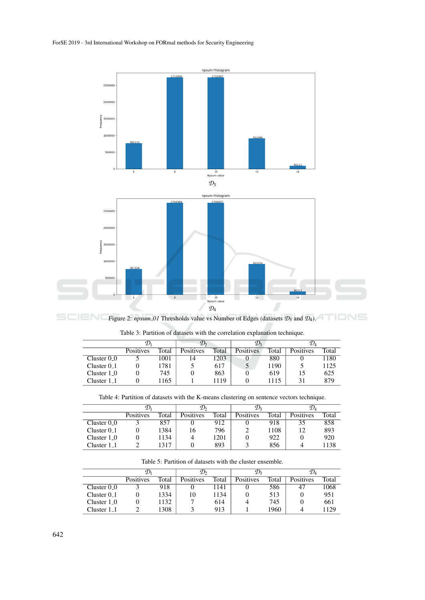

Figure 2: *npsum 01* Thresholds value vs Number of Edges (datasets  $\mathcal{D}_3$  and  $\mathcal{D}_4$ ).

|                          |           |       | $\mathcal{D}_2$ |       | $\mathcal{D}_3$ |       | $\mathcal{D}_A$  |       |
|--------------------------|-----------|-------|-----------------|-------|-----------------|-------|------------------|-------|
|                          | Positives | Total | Positives       | Total | Positives       | Total | <b>Positives</b> | Total |
| Cluster $0_0$            |           | 1001  | $\overline{4}$  | 1203  | O               | 880   |                  | 1180  |
| Cluster $0.1$            |           | 1781  |                 | 617   | $\mathcal{D}$   | 1190  |                  | 1125  |
| Cluster $1_0$            |           | 745   |                 | 863   |                 | 619   | 15               | 625   |
| Cluster 1 <sub>–</sub> 1 |           | 1165  |                 | 1119  |                 | .115  |                  | 879   |

Table 3: Partition of datasets with the correlation explanation technique.

Table 4: Partition of datasets with the K-means clustering on sentence vectors technique.

|                         | 'ע        |       | $\mathcal{D}_2$  |       | $\mathcal{D}_3$ |       | $\mathcal{D}_4$  |       |
|-------------------------|-----------|-------|------------------|-------|-----------------|-------|------------------|-------|
|                         | Positives | Total | <b>Positives</b> | Total | Positives       | Total | <b>Positives</b> | Total |
| Cluster $0_0$           |           | 857   |                  | 912   |                 | 918   | 35               | 858   |
| Cluster $0.1$           |           | 1384  | 16               | 796   |                 | 1108  | 12               | 893   |
| Cluster 1 <sub>-0</sub> |           | 1134  | 4                | 1201  |                 | 922   |                  | 920   |
| Cluster 1 <sub>-1</sub> |           | 1317  |                  | 893   |                 | 856   |                  | 1138  |

| Table 5: Partition of datasets with the cluster ensemble. |
|-----------------------------------------------------------|
|-----------------------------------------------------------|

|                  |           |       |           |       | ツュ        |       | $\nu_{\scriptscriptstyle{A}}$ |       |
|------------------|-----------|-------|-----------|-------|-----------|-------|-------------------------------|-------|
|                  | Positives | Total | Positives | Total | Positives | Total | <b>Positives</b>              | Total |
| Cluster $0_0$    |           | 918   |           | 141   |           | 586   | 47                            | 1068  |
| Cluster $0.1$    |           | 1334  | 10        | 1134  |           | 513   |                               | 951   |
| Cluster $1_0$    |           | 1132  |           | 614   |           | 745   |                               | 661   |
| Cluster $1_{-1}$ |           | 1308  |           | 913   |           | 1960  |                               | 1129  |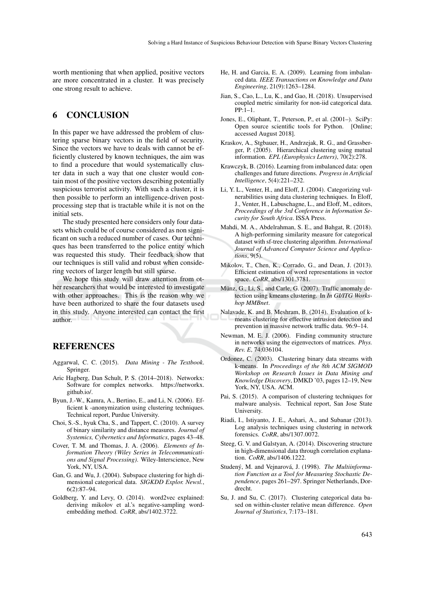worth mentioning that when applied, positive vectors are more concentrated in a cluster. It was precisely one strong result to achieve.

# 6 CONCLUSION

In this paper we have addressed the problem of clustering sparse binary vectors in the field of security. Since the vectors we have to deals with cannot be efficiently clustered by known techniques, the aim was to find a procedure that would systematically cluster data in such a way that one cluster would contain most of the positive vectors describing potentially suspicious terrorist activity. With such a cluster, it is then possible to perform an intelligence-driven postprocessing step that is tractable while it is not on the initial sets.

The study presented here considers only four datasets which could be of course considered as non significant on such a reduced number of cases. Our techniques has been transferred to the police entity which was requested this study. Their feedback show that our techniques is still valid and robust when considering vectors of larger length but still sparse.

We hope this study will draw attention from other researchers that would be interested to investigate with other approaches. This is the reason why we have been authorized to share the four datasets used in this study. Anyone interested can contact the first author.

# **REFERENCES**

- Aggarwal, C. C. (2015). *Data Mining The Textbook*. Springer.
- Aric Hagberg, Dan Schult, P. S. (2014–2018). Networkx: Software for complex networks. https://networkx. github.io/.
- Byun, J.-W., Kamra, A., Bertino, E., and Li, N. (2006). Efficient k -anonymization using clustering techniques. Technical report, Purdue University.
- Choi, S.-S., hyuk Cha, S., and Tappert, C. (2010). A survey of binary similarity and distance measures. *Journal of Systemics, Cybernetics and Informatics*, pages 43–48.
- Cover, T. M. and Thomas, J. A. (2006). *Elements of Information Theory (Wiley Series in Telecommunications and Signal Processing)*. Wiley-Interscience, New York, NY, USA.
- Gan, G. and Wu, J. (2004). Subspace clustering for high dimensional categorical data. *SIGKDD Explor. Newsl.*, 6(2):87–94.
- Goldberg, Y. and Levy, O. (2014). word2vec explained: deriving mikolov et al.'s negative-sampling wordembedding method. *CoRR*, abs/1402.3722.
- He, H. and Garcia, E. A. (2009). Learning from imbalanced data. *IEEE Transactions on Knowledge and Data Engineering*, 21(9):1263–1284.
- Jian, S., Cao, L., Lu, K., and Gao, H. (2018). Unsupervised coupled metric similarity for non-iid categorical data. PP:1–1.
- Jones, E., Oliphant, T., Peterson, P., et al. (2001–). SciPy: Open source scientific tools for Python. [Online; accessed August 2018].
- Kraskov, A., Stgbauer, H., Andrzejak, R. G., and Grassberger, P. (2005). Hierarchical clustering using mutual information. *EPL (Europhysics Letters)*, 70(2):278.
- Krawczyk, B. (2016). Learning from imbalanced data: open challenges and future directions. *Progress in Artificial Intelligence*, 5(4):221–232.
- Li, Y. L., Venter, H., and Eloff, J. (2004). Categorizing vulnerabilities using data clustering techniques. In Eloff, J., Venter, H., Labuschagne, L., and Eloff, M., editors, *Proceedings of the 3rd Conference in Information Security for South Africa*. ISSA Press.
- Mahdi, M. A., Abdelrahman, S. E., and Bahgat, R. (2018). A high-performing similarity measure for categorical dataset with sf-tree clustering algorithm. *International Journal of Advanced Computer Science and Applications*, 9(5).
- Mikolov, T., Chen, K., Corrado, G., and Dean, J. (2013). Efficient estimation of word representations in vector space. *CoRR*, abs/1301.3781.
- Münz, G., Li, S., and Carle, G. (2007). Traffic anomaly detection using kmeans clustering. In *In GI/ITG Workshop MMBnet*.
- Nalavade, K. and B. Meshram, B. (2014). Evaluation of kmeans clustering for effective intrusion detection and prevention in massive network traffic data. 96:9–14.
- Newman, M. E. J. (2006). Finding community structure in networks using the eigenvectors of matrices. *Phys. Rev. E*, 74:036104.
- Ordonez, C. (2003). Clustering binary data streams with k-means. In *Proceedings of the 8th ACM SIGMOD Workshop on Research Issues in Data Mining and Knowledge Discovery*, DMKD '03, pages 12–19, New York, NY, USA. ACM.
- Pai, S. (2015). A comparison of clustering techniques for malware analysis. Technical report, San Jose State **University**
- Riadi, I., Istiyanto, J. E., Ashari, A., and Subanar (2013). Log analysis techniques using clustering in network forensics. *CoRR*, abs/1307.0072.
- Steeg, G. V. and Galstyan, A. (2014). Discovering structure in high-dimensional data through correlation explanation. *CoRR*, abs/1406.1222.
- Studený, M. and Vejnarová, J. (1998). The Multiinforma*tion Function as a Tool for Measuring Stochastic Dependence*, pages 261–297. Springer Netherlands, Dordrecht.
- Su, J. and Su, C. (2017). Clustering categorical data based on within-cluster relative mean difference. *Open Journal of Statistics*, 7:173–181.